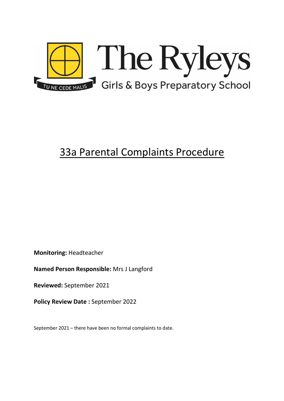

# 33a Parental Complaints Procedure

**Monitoring:** Headteacher

**Named Person Responsible:** Mrs J Langford

**Reviewed:** September 2021

**Policy Review Date :** September 2022

September 2021 – there have been no formal complaints to date.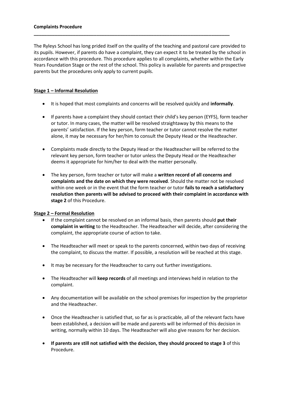#### **Complaints Procedure**

The Ryleys School has long prided itself on the quality of the teaching and pastoral care provided to its pupils. However, if parents do have a complaint, they can expect it to be treated by the school in accordance with this procedure. This procedure applies to all complaints, whether within the Early Years Foundation Stage or the rest of the school. This policy is available for parents and prospective parents but the procedures only apply to current pupils.

**\_\_\_\_\_\_\_\_\_\_\_\_\_\_\_\_\_\_\_\_\_\_\_\_\_\_\_\_\_\_\_\_\_\_\_\_\_\_\_\_\_\_\_\_\_\_\_\_\_\_\_\_\_\_\_\_\_\_\_\_\_\_\_\_\_\_\_\_\_\_\_\_\_\_\_**

# **Stage 1 – Informal Resolution**

- It is hoped that most complaints and concerns will be resolved quickly and **informally**.
- If parents have a complaint they should contact their child's key person (EYFS), form teacher or tutor. In many cases, the matter will be resolved straightaway by this means to the parents' satisfaction. If the key person, form teacher or tutor cannot resolve the matter alone, it may be necessary for her/him to consult the Deputy Head or the Headteacher.
- Complaints made directly to the Deputy Head or the Headteacher will be referred to the relevant key person, form teacher or tutor unless the Deputy Head or the Headteacher deems it appropriate for him/her to deal with the matter personally.
- The key person, form teacher or tutor will make a **written record of all concerns and complaints and the date on which they were received**. Should the matter not be resolved within one week or in the event that the form teacher or tutor **fails to reach a satisfactory resolution then parents will be advised to proceed with their complaint in accordance with stage 2** of this Procedure.

### **Stage 2 – Formal Resolution**

- If the complaint cannot be resolved on an informal basis, then parents should **put their complaint in writing** to the Headteacher. The Headteacher will decide, after considering the complaint, the appropriate course of action to take.
- The Headteacher will meet or speak to the parents concerned, within two days of receiving the complaint, to discuss the matter. If possible, a resolution will be reached at this stage.
- It may be necessary for the Headteacher to carry out further investigations.
- The Headteacher will **keep records** of all meetings and interviews held in relation to the complaint.
- Any documentation will be available on the school premises for inspection by the proprietor and the Headteacher.
- Once the Headteacher is satisfied that, so far as is practicable, all of the relevant facts have been established, a decision will be made and parents will be informed of this decision in writing, normally within 10 days. The Headteacher will also give reasons for her decision.
- **If parents are still not satisfied with the decision, they should proceed to stage 3** of this Procedure.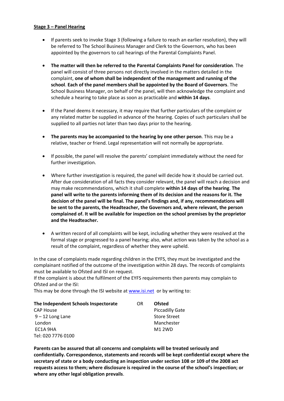### **Stage 3 – Panel Hearing**

- If parents seek to invoke Stage 3 (following a failure to reach an earlier resolution), they will be referred to The School Business Manager and Clerk to the Governors, who has been appointed by the governors to call hearings of the Parental Complaints Panel.
- **The matter will then be referred to the Parental Complaints Panel for consideration**. The panel will consist of three persons not directly involved in the matters detailed in the complaint, **one of whom shall be independent of the management and running of the school**. **Each of the panel members shall be appointed by the Board of Governors**. The School Business Manager, on behalf of the panel, will then acknowledge the complaint and schedule a hearing to take place as soon as practicable and **within 14 days**.
- If the Panel deems it necessary, it may require that further particulars of the complaint or any related matter be supplied in advance of the hearing. Copies of such particulars shall be supplied to all parties not later than two days prior to the hearing.
- **The parents may be accompanied to the hearing by one other person**. This may be a relative, teacher or friend. Legal representation will not normally be appropriate.
- If possible, the panel will resolve the parents' complaint immediately without the need for further investigation.
- Where further investigation is required, the panel will decide how it should be carried out. After due consideration of all facts they consider relevant, the panel will reach a decision and may make recommendations, which it shall complete **within 14 days of the hearing**. **The panel will write to the parents informing them of its decision and the reasons for it. The decision of the panel will be final. The panel's findings and, if any, recommendations will be sent to the parents, the Headteacher, the Governors and, where relevant, the person complained of. It will be available for inspection on the school premises by the proprietor and the Headteacher.**
- A written record of all complaints will be kept, including whether they were resolved at the formal stage or progressed to a panel hearing; also, what action was taken by the school as a result of the complaint, regardless of whether they were upheld.

In the case of complaints made regarding children in the EYFS, they must be investigated and the complainant notified of the outcome of the investigation within 28 days. The records of complaints must be available to Ofsted and ISI on request.

If the complaint is about the fulfilment of the EYFS requirements then parents may complain to Ofsted and or the ISI:

This may be done through the ISI website at [www.isi.net](http://www.isi.net/) or by writing to:

| The Independent Schools Inspectorate | OR. | <b>Ofsted</b>          |
|--------------------------------------|-----|------------------------|
| <b>CAP House</b>                     |     | <b>Piccadilly Gate</b> |
| $9 - 12$ Long Lane                   |     | <b>Store Street</b>    |
| London                               |     | Manchester             |
| EC1A 9HA                             |     | <b>M1 2WD</b>          |
| Tel: 020 7776 0100                   |     |                        |

**Parents can be assured that all concerns and complaints will be treated seriously and confidentially. Correspondence, statements and records will be kept confidential except where the secretary of state or a body conducting an inspection under section 108 or 109 of the 2008 act requests access to them; where disclosure is required in the course of the school's inspection; or where any other legal obligation prevails**.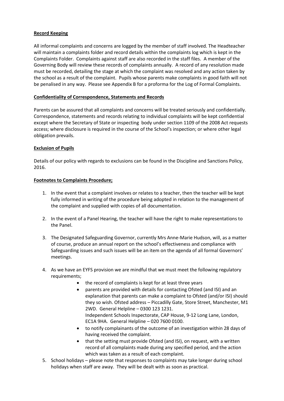# **Record Keeping**

All informal complaints and concerns are logged by the member of staff involved. The Headteacher will maintain a complaints folder and record details within the complaints log which is kept in the Complaints Folder. Complaints against staff are also recorded in the staff files. A member of the Governing Body will review these records of complaints annually. A record of any resolution made must be recorded, detailing the stage at which the complaint was resolved and any action taken by the school as a result of the complaint. Pupils whose parents make complaints in good faith will not be penalised in any way. Please see Appendix B for a proforma for the Log of Formal Complaints.

# **Confidentiality of Correspondence, Statements and Records**

Parents can be assured that all complaints and concerns will be treated seriously and confidentially. Correspondence, statements and records relating to individual complaints will be kept confidential except where the Secretary of State or inspecting body under section 1109 of the 2008 Act requests access; where disclosure is required in the course of the School's inspection; or where other legal obligation prevails.

### **Exclusion of Pupils**

Details of our policy with regards to exclusions can be found in the Discipline and Sanctions Policy, 2016.

### **Footnotes to Complaints Procedure;**

- 1. In the event that a complaint involves or relates to a teacher, then the teacher will be kept fully informed in writing of the procedure being adopted in relation to the management of the complaint and supplied with copies of all documentation.
- 2. In the event of a Panel Hearing, the teacher will have the right to make representations to the Panel.
- 3. The Designated Safeguarding Governor, currently Mrs Anne-Marie Hudson, will, as a matter of course, produce an annual report on the school's effectiveness and compliance with Safeguarding issues and such issues will be an item on the agenda of all formal Governors' meetings.
- 4. As we have an EYFS provision we are mindful that we must meet the following regulatory requirements;
	- the record of complaints is kept for at least three years
	- parents are provided with details for contacting Ofsted (and ISI) and an explanation that parents can make a complaint to Ofsted (and/or ISI) should they so wish. Ofsted address – Piccadilly Gate, Store Street, Manchester, M1 2WD. General Helpline – 0300 123 1231. Independent Schools Inspectorate, CAP House, 9-12 Long Lane, London, EC1A 9HA. General Helpline – 020 7600 0100.
	- to notify complainants of the outcome of an investigation within 28 days of having received the complaint.
	- that the setting must provide Ofsted (and ISI), on request, with a written record of all complaints made during any specified period, and the action which was taken as a result of each complaint.
- 5. School holidays please note that responses to complaints may take longer during school holidays when staff are away. They will be dealt with as soon as practical.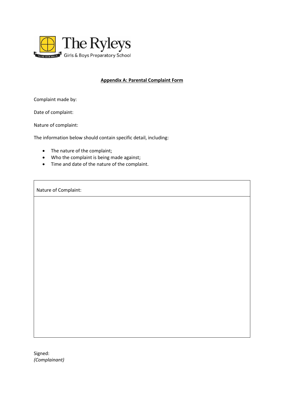

# **Appendix A: Parental Complaint Form**

Complaint made by:

Date of complaint:

Nature of complaint:

The information below should contain specific detail, including:

- The nature of the complaint;
- Who the complaint is being made against;
- Time and date of the nature of the complaint.

Nature of Complaint:

Signed: *(Complainant)*